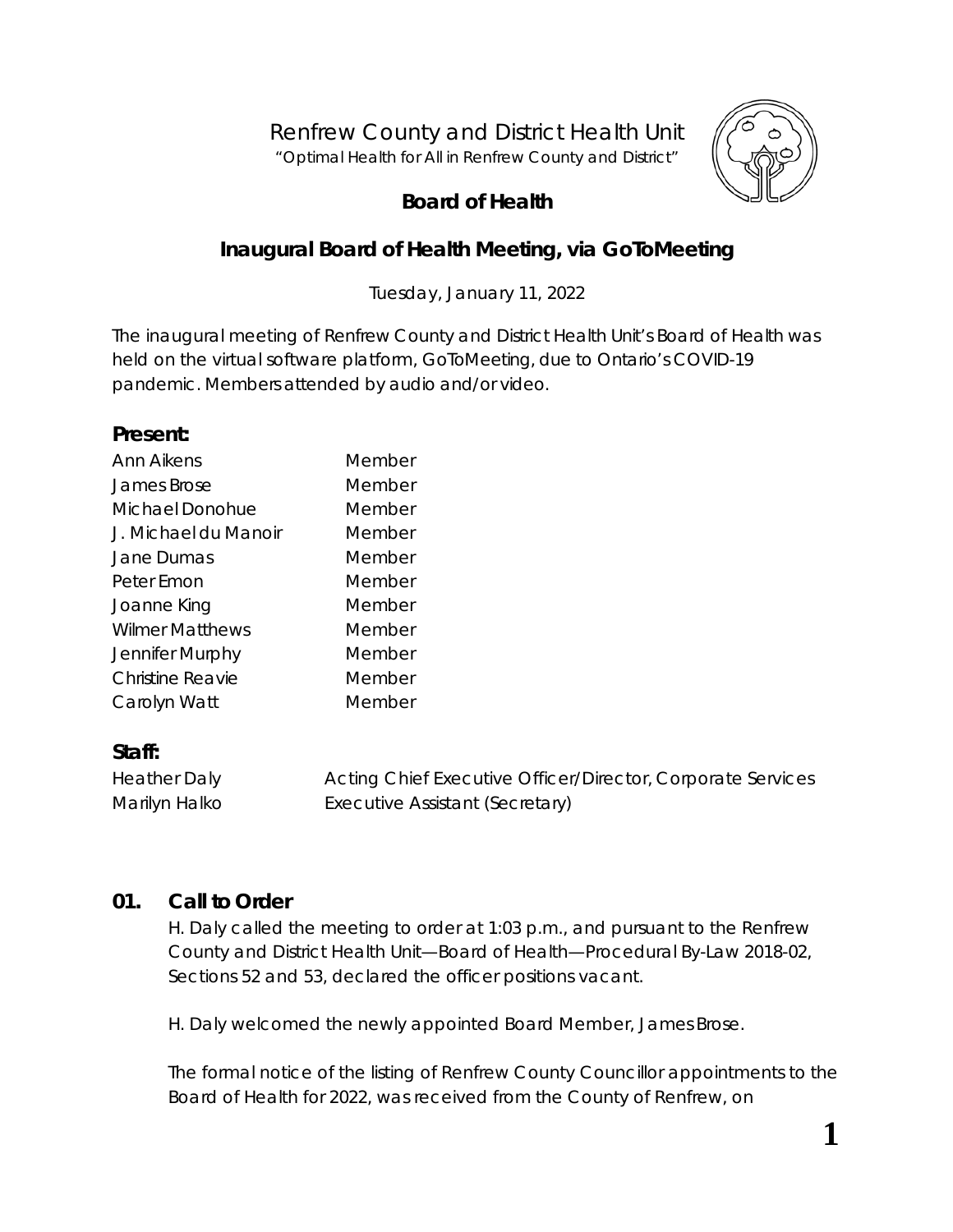Renfrew County and District Health Unit *"Optimal Health for All in Renfrew County and District"*



# **Board of Health**

# **Inaugural Board of Health Meeting, via** *GoToMeeting*

Tuesday, January 11, 2022

The inaugural meeting of Renfrew County and District Health Unit's Board of Health was held on the virtual software platform, *GoToMeeting*, due to Ontario's COVID-19 pandemic. Members attended by audio and/or video.

#### **Present:**

| Member |
|--------|
| Member |
| Member |
| Member |
| Member |
| Member |
| Member |
| Member |
| Member |
| Member |
| Member |
|        |

# **Staff:**

| <b>Heather Daly</b> | Acting Chief Executive Officer/Director, Corporate Services |
|---------------------|-------------------------------------------------------------|
| Marilyn Halko       | Executive Assistant (Secretary)                             |

### **01. Call to Order**

H. Daly called the meeting to order at 1:03 p.m., and pursuant to the Renfrew County and District Health Unit—Board of Health—Procedural By-Law 2018-02, Sections 52 and 53, declared the officer positions vacant.

H. Daly welcomed the newly appointed Board Member, James Brose.

The formal notice of the listing of Renfrew County Councillor appointments to the Board of Health for 2022, was received from the County of Renfrew, on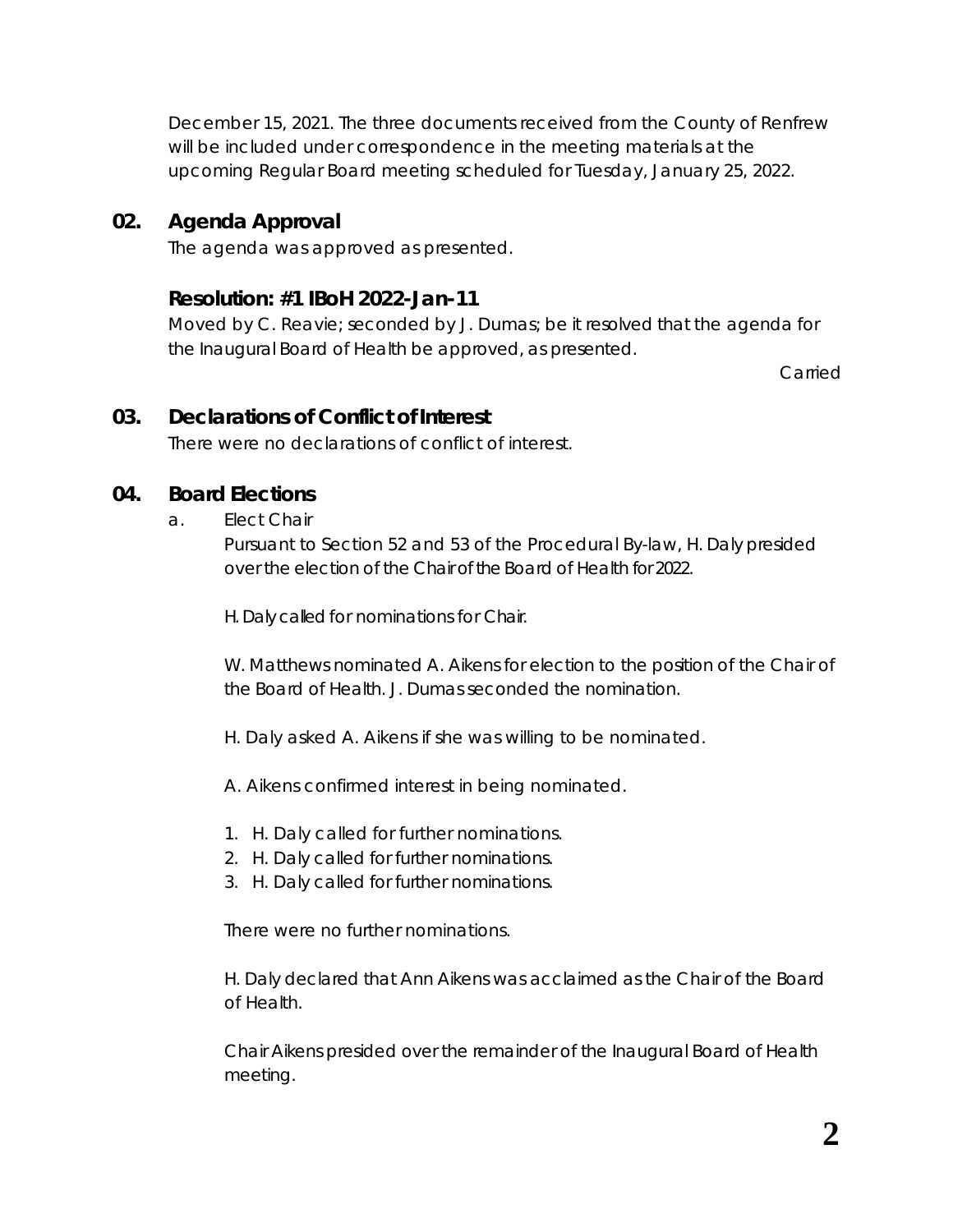December 15, 2021. The three documents received from the County of Renfrew will be included under correspondence in the meeting materials at the upcoming Regular Board meeting scheduled for Tuesday, January 25, 2022.

### **02. Agenda Approval**

The agenda was approved as presented.

### **Resolution: #1 IBoH 2022-Jan-11**

Moved by C. Reavie; seconded by J. Dumas; be it resolved that the agenda for the Inaugural Board of Health be approved, as presented.

Carried

### **03. Declarations of Conflict of Interest**

There were no declarations of conflict of interest.

### **04. Board Elections**

#### a. Elect Chair

Pursuant to Section 52 and 53 of the Procedural By-law, H. Daly presided over the election of the Chair of the Board of Health for 2022.

H. Daly called for nominations for Chair.

W. Matthews nominated A. Aikens for election to the position of the Chair of the Board of Health. J. Dumas seconded the nomination.

H. Daly asked A. Aikens if she was willing to be nominated.

A. Aikens confirmed interest in being nominated.

- 1. H. Daly called for further nominations.
- 2. H. Daly called for further nominations.
- 3. H. Daly called for further nominations.

There were no further nominations.

H. Daly declared that Ann Aikens was acclaimed as the Chair of the Board of Health.

Chair Aikens presided over the remainder of the Inaugural Board of Health meeting.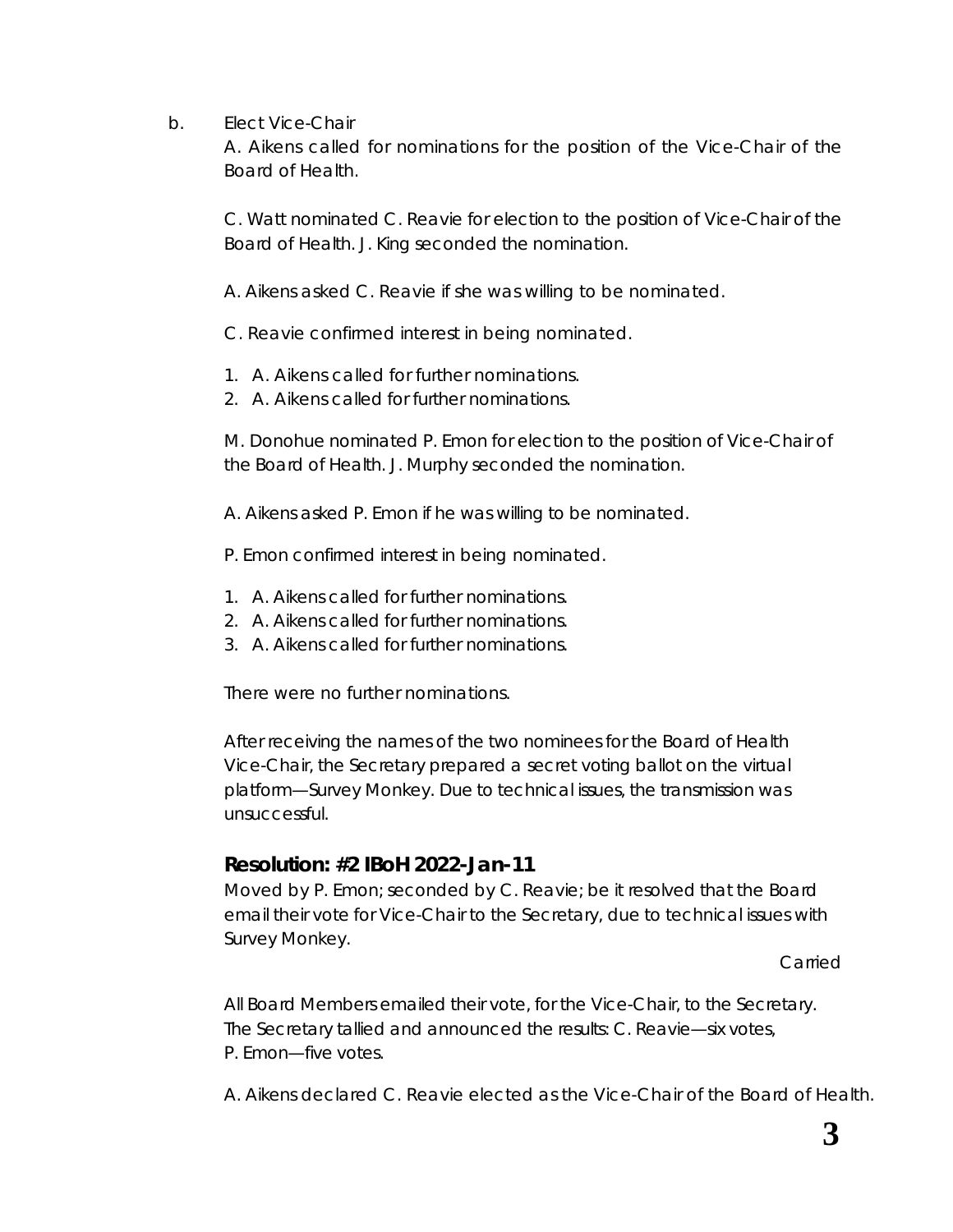b. Elect Vice-Chair

A. Aikens called for nominations for the position of the Vice-Chair of the Board of Health.

C. Watt nominated C. Reavie for election to the position of Vice-Chair of the Board of Health. J. King seconded the nomination.

A. Aikens asked C. Reavie if she was willing to be nominated.

C. Reavie confirmed interest in being nominated.

- 1. A. Aikens called for further nominations.
- 2. A. Aikens called for further nominations.

M. Donohue nominated P. Emon for election to the position of Vice-Chair of the Board of Health. J. Murphy seconded the nomination.

A. Aikens asked P. Emon if he was willing to be nominated.

P. Emon confirmed interest in being nominated.

- 1. A. Aikens called for further nominations.
- 2. A. Aikens called for further nominations.
- 3. A. Aikens called for further nominations.

There were no further nominations.

After receiving the names of the two nominees for the Board of Health Vice-Chair, the Secretary prepared a secret voting ballot on the virtual platform—*Survey Monkey*. Due to technical issues, the transmission was unsuccessful.

# **Resolution: #2 IBoH 2022-Jan-11**

Moved by P. Emon; seconded by C. Reavie; be it resolved that the Board email their vote for Vice-Chair to the Secretary, due to technical issues with Survey Monkey.

Carried

All Board Members emailed their vote, for the Vice-Chair, to the Secretary. The Secretary tallied and announced the results: C. Reavie—six votes, P. Emon—five votes.

A. Aikens declared C. Reavie elected as the Vice-Chair of the Board of Health.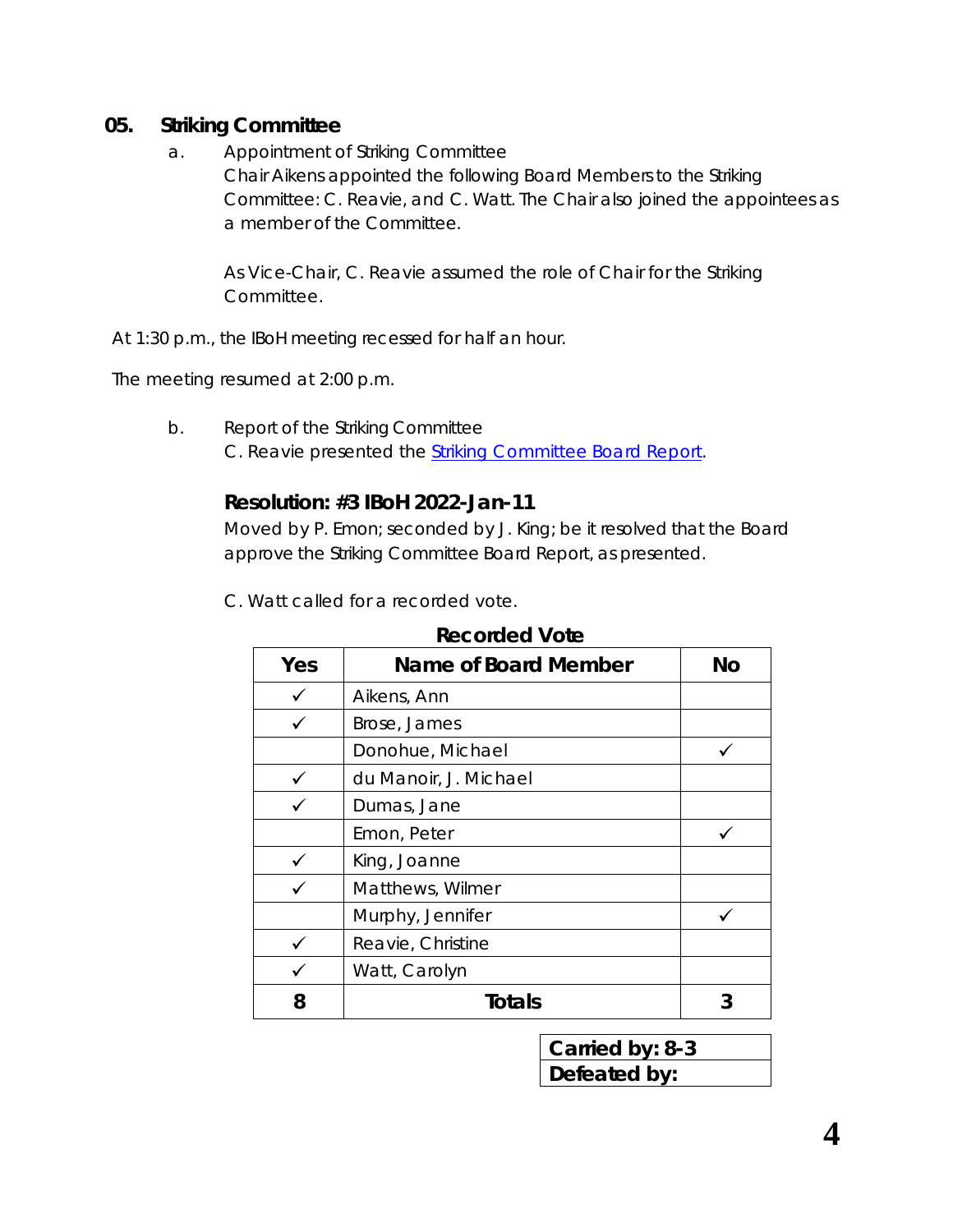### **05. Striking Committee**

- a. Appointment of Striking Committee
	- Chair Aikens appointed the following Board Members to the Striking Committee: C. Reavie, and C. Watt. The Chair also joined the appointees as a member of the Committee.

As Vice-Chair, C. Reavie assumed the role of Chair for the Striking Committee.

At 1:30 p.m., the IBoH meeting recessed for half an hour.

The meeting resumed at 2:00 p.m.

b. Report of the Striking Committee C. Reavie presented the *[Striking Committee Board Report](https://www.rcdhu.com/wp-content/uploads/2022/01/Striking-Committee-Board-Report-2022-Jan-11-CR.pdf)*.

# **Resolution: #3 IBoH 2022-Jan-11**

Moved by P. Emon; seconded by J. King; be it resolved that the Board approve the Striking Committee Board Report, as presented.

| Yes | <b>Name of Board Member</b> | <b>No</b> |
|-----|-----------------------------|-----------|
| ✓   | Aikens, Ann                 |           |
|     | Brose, James                |           |
|     | Donohue, Michael            |           |
|     | du Manoir, J. Michael       |           |
|     | Dumas, Jane                 |           |
|     | Emon, Peter                 |           |
|     | King, Joanne                |           |
|     | Matthews, Wilmer            |           |
|     | Murphy, Jennifer            |           |
|     | Reavie, Christine           |           |
|     | Watt, Carolyn               |           |
| 8   | Totals                      |           |

### **Recorded Vote**

| Carried by: 8-3 |
|-----------------|
| Defeated by:    |
|                 |